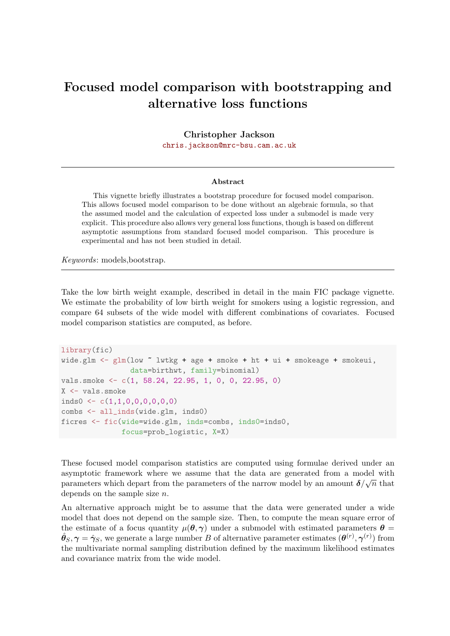## Focused model comparison with bootstrapping and alternative loss functions

Christopher Jackson

[chris.jackson@mrc-bsu.cam.ac.uk](mailto:chris.jackson@mrc-bsu.cam.ac.uk)

## Abstract

This vignette briefly illustrates a bootstrap procedure for focused model comparison. This allows focused model comparison to be done without an algebraic formula, so that the assumed model and the calculation of expected loss under a submodel is made very explicit. This procedure also allows very general loss functions, though is based on different asymptotic assumptions from standard focused model comparison. This procedure is experimental and has not been studied in detail.

Keywords: models,bootstrap.

Take the low birth weight example, described in detail in the main FIC package vignette. We estimate the probability of low birth weight for smokers using a logistic regression, and compare 64 subsets of the wide model with different combinations of covariates. Focused model comparison statistics are computed, as before.

```
library(fic)
wide.glm <- glm(low " lwtkg + age + smoke + ht + ui + smokeage + smokeui,
                data=birthwt, family=binomial)
vals.smoke <- c(1, 58.24, 22.95, 1, 0, 0, 22.95, 0)
X <- vals.smoke
inds0 <- c(1,1,0,0,0,0,0,0)combs <- all_inds(wide.glm, inds0)
ficres <- fic(wide=wide.glm, inds=combs, inds0=inds0,
              focus=prob_logistic, X=X)
```
These focused model comparison statistics are computed using formulae derived under an asymptotic framework where we assume that the data are generated from a model with parameters which depart from the parameters of the narrow model by an amount  $\delta/\sqrt{n}$  that depends on the sample size  $n$ .

An alternative approach might be to assume that the data were generated under a wide model that does not depend on the sample size. Then, to compute the mean square error of the estimate of a focus quantity  $\mu(\theta, \gamma)$  under a submodel with estimated parameters  $\theta =$  $\hat{\theta}_S, \gamma = \hat{\gamma}_S$ , we generate a large number B of alternative parameter estimates  $(\theta^{(r)}, \gamma^{(r)})$  from the multivariate normal sampling distribution defined by the maximum likelihood estimates and covariance matrix from the wide model.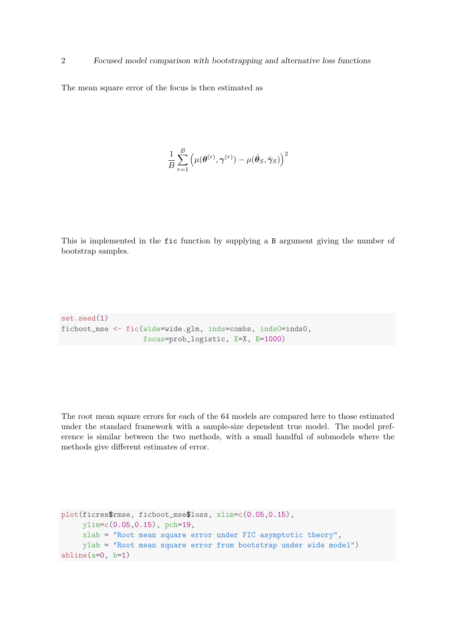The mean square error of the focus is then estimated as

$$
\frac{1}{B}\sum_{r=1}^{B} \left(\mu(\boldsymbol{\theta}^{(r)}, \boldsymbol{\gamma}^{(r)}) - \mu(\hat{\boldsymbol{\theta}}_S, \hat{\boldsymbol{\gamma}}_S)\right)^2
$$

This is implemented in the fic function by supplying a B argument giving the number of bootstrap samples.

```
set.seed(1)
ficboot_mse <- fic(wide=wide.glm, inds=combs, inds0=inds0,
                   focus=prob_logistic, X=X, B=1000)
```
The root mean square errors for each of the 64 models are compared here to those estimated under the standard framework with a sample-size dependent true model. The model preference is similar between the two methods, with a small handful of submodels where the methods give different estimates of error.

```
plot(ficres$rmse, ficboot_mse$loss, xlim=c(0.05,0.15),
     ylim=c(0.05,0.15), pch=19,
     xlab = "Root mean square error under FIC asymptotic theory",
     ylab = "Root mean square error from bootstrap under wide model")
abline(a=0, b=1)
```